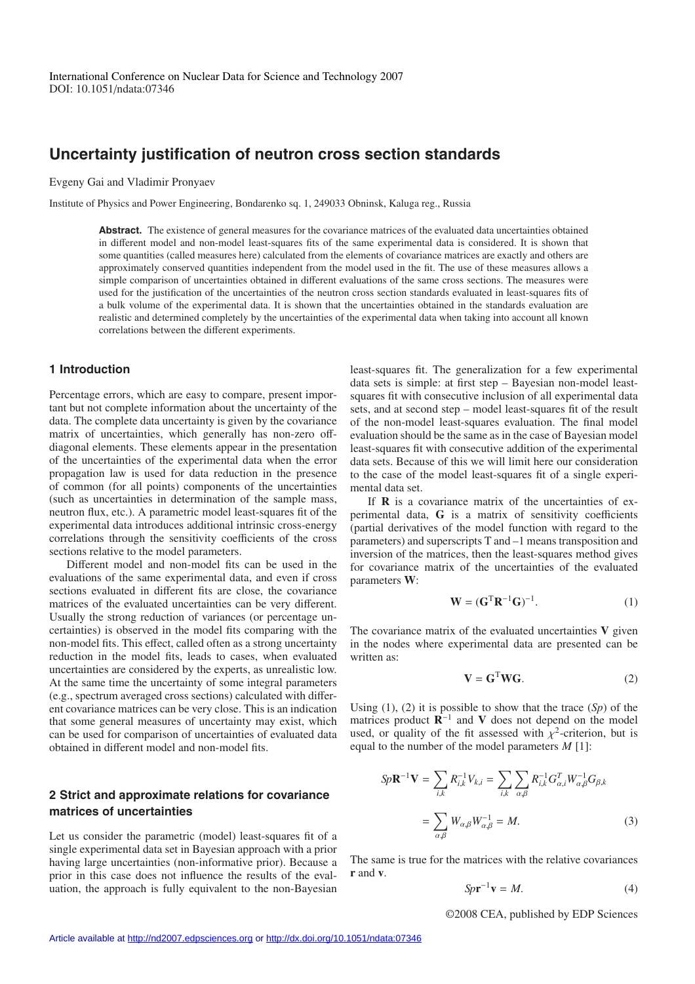# **Uncertainty justification of neutron cross section standards**

Evgeny Gai and Vladimir Pronyaev

Institute of Physics and Power Engineering, Bondarenko sq. 1, 249033 Obninsk, Kaluga reg., Russia

**Abstract.** The existence of general measures for the covariance matrices of the evaluated data uncertainties obtained in different model and non-model least-squares fits of the same experimental data is considered. It is shown that some quantities (called measures here) calculated from the elements of covariance matrices are exactly and others are approximately conserved quantities independent from the model used in the fit. The use of these measures allows a simple comparison of uncertainties obtained in different evaluations of the same cross sections. The measures were used for the justification of the uncertainties of the neutron cross section standards evaluated in least-squares fits of a bulk volume of the experimental data. It is shown that the uncertainties obtained in the standards evaluation are realistic and determined completely by the uncertainties of the experimental data when taking into account all known correlations between the different experiments.

### **1 Introduction**

Percentage errors, which are easy to compare, present important but not complete information about the uncertainty of the data. The complete data uncertainty is given by the covariance matrix of uncertainties, which generally has non-zero offdiagonal elements. These elements appear in the presentation of the uncertainties of the experimental data when the error propagation law is used for data reduction in the presence of common (for all points) components of the uncertainties (such as uncertainties in determination of the sample mass, neutron flux, etc.). A parametric model least-squares fit of the experimental data introduces additional intrinsic cross-energy correlations through the sensitivity coefficients of the cross sections relative to the model parameters.

Different model and non-model fits can be used in the evaluations of the same experimental data, and even if cross sections evaluated in different fits are close, the covariance matrices of the evaluated uncertainties can be very different. Usually the strong reduction of variances (or percentage uncertainties) is observed in the model fits comparing with the non-model fits. This effect, called often as a strong uncertainty reduction in the model fits, leads to cases, when evaluated uncertainties are considered by the experts, as unrealistic low. At the same time the uncertainty of some integral parameters (e.g., spectrum averaged cross sections) calculated with different covariance matrices can be very close. This is an indication that some general measures of uncertainty may exist, which can be used for comparison of uncertainties of evaluated data obtained in different model and non-model fits.

## **2 Strict and approximate relations for covariance matrices of uncertainties**

Let us consider the parametric (model) least-squares fit of a single experimental data set in Bayesian approach with a prior having large uncertainties (non-informative prior). Because a prior in this case does not influence the results of the evaluation, the approach is fully equivalent to the non-Bayesian least-squares fit. The generalization for a few experimental data sets is simple: at first step – Bayesian non-model leastsquares fit with consecutive inclusion of all experimental data sets, and at second step – model least-squares fit of the result of the non-model least-squares evaluation. The final model evaluation should be the same as in the case of Bayesian model least-squares fit with consecutive addition of the experimental data sets. Because of this we will limit here our consideration to the case of the model least-squares fit of a single experimental data set.

If **R** is a covariance matrix of the uncertainties of experimental data, **G** is a matrix of sensitivity coefficients (partial derivatives of the model function with regard to the parameters) and superscripts T and –1 means transposition and inversion of the matrices, then the least-squares method gives for covariance matrix of the uncertainties of the evaluated parameters **W**:

$$
\mathbf{W} = (\mathbf{G}^{\mathrm{T}} \mathbf{R}^{-1} \mathbf{G})^{-1}.
$$
 (1)

The covariance matrix of the evaluated uncertainties **V** given in the nodes where experimental data are presented can be written as:

$$
\mathbf{V} = \mathbf{G}^{\mathrm{T}} \mathbf{W} \mathbf{G}.
$$
 (2)

Using (1), (2) it is possible to show that the trace (*Sp*) of the matrices product **R**−<sup>1</sup> and **V** does not depend on the model used, or quality of the fit assessed with  $\chi^2$ -criterion, but is equal to the number of the model parameters *M* [1]:

$$
Sp\mathbf{R}^{-1}\mathbf{V} = \sum_{i,k} R_{i,k}^{-1} V_{k,i} = \sum_{i,k} \sum_{\alpha,\beta} R_{i,k}^{-1} G_{\alpha,i}^{T} W_{\alpha,\beta}^{-1} G_{\beta,k}
$$

$$
= \sum_{\alpha,\beta} W_{\alpha,\beta} W_{\alpha,\beta}^{-1} = M. \tag{3}
$$

The same is true for the matrices with the relative covariances **r** and **v**.

$$
Sp\mathbf{r}^{-1}\mathbf{v} = M.\tag{4}
$$

©2008 CEA, published by EDP Sciences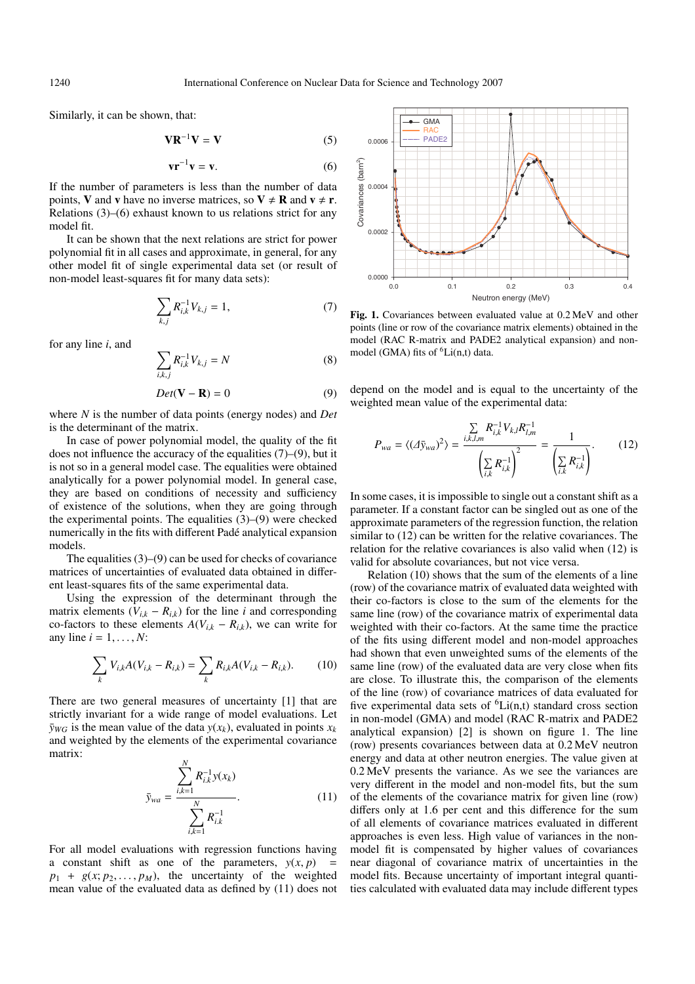Similarly, it can be shown, that:

$$
VR^{-1}V = V
$$
 (5)

$$
\mathbf{v}\mathbf{r}^{-1}\mathbf{v} = \mathbf{v}.\tag{6}
$$

If the number of parameters is less than the number of data points, **V** and **v** have no inverse matrices, so  $V \neq R$  and  $v \neq r$ . Relations (3)–(6) exhaust known to us relations strict for any model fit.

It can be shown that the next relations are strict for power polynomial fit in all cases and approximate, in general, for any other model fit of single experimental data set (or result of non-model least-squares fit for many data sets):

$$
\sum_{k,j} R_{i,k}^{-1} V_{k,j} = 1, \tag{7}
$$

for any line *i*, and

$$
\sum_{i,k,j} R_{i,k}^{-1} V_{k,j} = N \tag{8}
$$

$$
Det(\mathbf{V} - \mathbf{R}) = 0 \tag{9}
$$

where *N* is the number of data points (energy nodes) and *Det* is the determinant of the matrix.

In case of power polynomial model, the quality of the fit does not influence the accuracy of the equalities  $(7)$ – $(9)$ , but it is not so in a general model case. The equalities were obtained analytically for a power polynomial model. In general case, they are based on conditions of necessity and sufficiency of existence of the solutions, when they are going through the experimental points. The equalities  $(3)$ – $(9)$  were checked numerically in the fits with different Pade analytical expansion ´ models.

The equalities (3)–(9) can be used for checks of covariance matrices of uncertainties of evaluated data obtained in different least-squares fits of the same experimental data.

Using the expression of the determinant through the matrix elements  $(V_{i,k} - R_{i,k})$  for the line *i* and corresponding co-factors to these elements  $A(V_{i,k} - R_{i,k})$ , we can write for any line  $i = 1, \ldots, N$ :

$$
\sum_{k} V_{i,k} A(V_{i,k} - R_{i,k}) = \sum_{k} R_{i,k} A(V_{i,k} - R_{i,k}).
$$
 (10)

There are two general measures of uncertainty [1] that are strictly invariant for a wide range of model evaluations. Let  $\bar{y}_{WG}$  is the mean value of the data  $y(x_k)$ , evaluated in points  $x_k$ and weighted by the elements of the experimental covariance matrix:

$$
\bar{y}_{wa} = \frac{\sum_{i,k=1}^{N} R_{i,k}^{-1} y(x_k)}{\sum_{i,k=1}^{N} R_{i,k}^{-1}}.
$$
\n(11)

For all model evaluations with regression functions having a constant shift as one of the parameters,  $y(x, p)$  =  $p_1 + g(x; p_2, \ldots, p_M)$ , the uncertainty of the weighted mean value of the evaluated data as defined by (11) does not



**Fig. 1.** Covariances between evaluated value at 0.2 MeV and other points (line or row of the covariance matrix elements) obtained in the model (RAC R-matrix and PADE2 analytical expansion) and nonmodel (GMA) fits of  ${}^6$ Li(n,t) data.

depend on the model and is equal to the uncertainty of the weighted mean value of the experimental data:

$$
P_{wa} = \langle (\Delta \bar{y}_{wa})^2 \rangle = \frac{\sum\limits_{i,k,l,m} R_{i,k}^{-1} V_{k,l} R_{l,m}^{-1}}{\left(\sum\limits_{i,k} R_{i,k}^{-1}\right)^2} = \frac{1}{\left(\sum\limits_{i,k} R_{i,k}^{-1}\right)}.
$$
 (12)

In some cases, it is impossible to single out a constant shift as a parameter. If a constant factor can be singled out as one of the approximate parameters of the regression function, the relation similar to (12) can be written for the relative covariances. The relation for the relative covariances is also valid when (12) is valid for absolute covariances, but not vice versa.

Relation (10) shows that the sum of the elements of a line (row) of the covariance matrix of evaluated data weighted with their co-factors is close to the sum of the elements for the same line (row) of the covariance matrix of experimental data weighted with their co-factors. At the same time the practice of the fits using different model and non-model approaches had shown that even unweighted sums of the elements of the same line (row) of the evaluated data are very close when fits are close. To illustrate this, the comparison of the elements of the line (row) of covariance matrices of data evaluated for five experimental data sets of  ${}^{6}Li(n,t)$  standard cross section in non-model (GMA) and model (RAC R-matrix and PADE2 analytical expansion) [2] is shown on figure 1. The line (row) presents covariances between data at 0.2 MeV neutron energy and data at other neutron energies. The value given at 0.2 MeV presents the variance. As we see the variances are very different in the model and non-model fits, but the sum of the elements of the covariance matrix for given line (row) differs only at 1.6 per cent and this difference for the sum of all elements of covariance matrices evaluated in different approaches is even less. High value of variances in the nonmodel fit is compensated by higher values of covariances near diagonal of covariance matrix of uncertainties in the model fits. Because uncertainty of important integral quantities calculated with evaluated data may include different types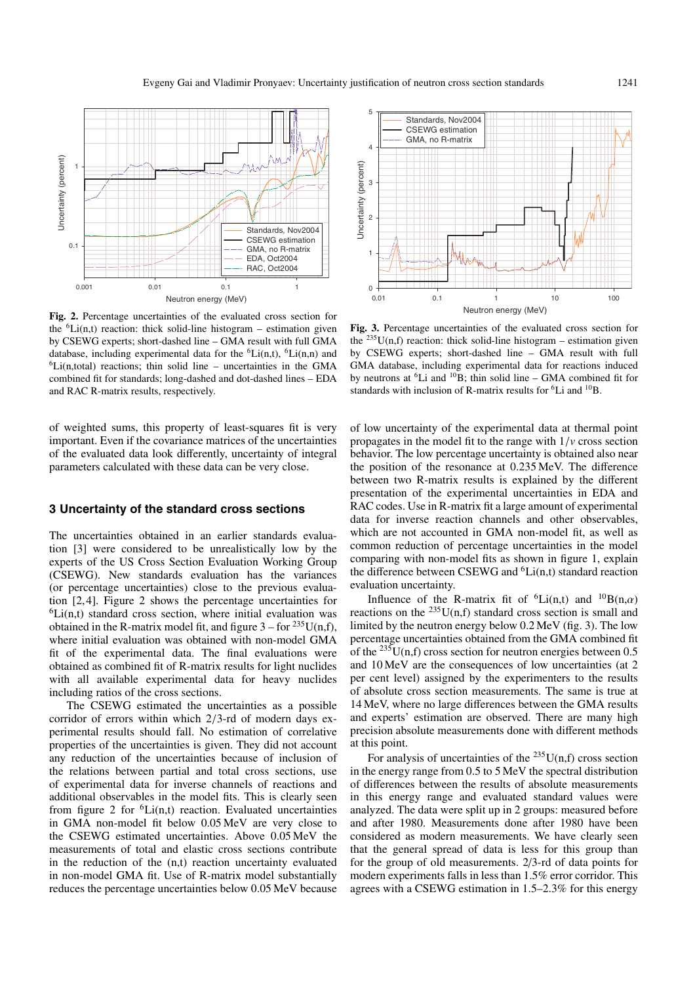

**Fig. 2.** Percentage uncertainties of the evaluated cross section for the  ${}^{6}Li(n,t)$  reaction: thick solid-line histogram – estimation given by CSEWG experts; short-dashed line – GMA result with full GMA database, including experimental data for the  ${}^{6}Li(n,t)$ ,  ${}^{6}Li(n,n)$  and  ${}^{6}$ Li(n,total) reactions; thin solid line – uncertainties in the GMA combined fit for standards; long-dashed and dot-dashed lines – EDA and RAC R-matrix results, respectively.

of weighted sums, this property of least-squares fit is very important. Even if the covariance matrices of the uncertainties of the evaluated data look differently, uncertainty of integral parameters calculated with these data can be very close.

### **3 Uncertainty of the standard cross sections**

The uncertainties obtained in an earlier standards evaluation [3] were considered to be unrealistically low by the experts of the US Cross Section Evaluation Working Group (CSEWG). New standards evaluation has the variances (or percentage uncertainties) close to the previous evaluation [2, 4]. Figure 2 shows the percentage uncertainties for  ${}^{6}$ Li(n,t) standard cross section, where initial evaluation was obtained in the R-matrix model fit, and figure  $3 -$  for  $235$ U(n,f), where initial evaluation was obtained with non-model GMA fit of the experimental data. The final evaluations were obtained as combined fit of R-matrix results for light nuclides with all available experimental data for heavy nuclides including ratios of the cross sections.

The CSEWG estimated the uncertainties as a possible corridor of errors within which 2/3-rd of modern days experimental results should fall. No estimation of correlative properties of the uncertainties is given. They did not account any reduction of the uncertainties because of inclusion of the relations between partial and total cross sections, use of experimental data for inverse channels of reactions and additional observables in the model fits. This is clearly seen from figure 2 for  ${}^{6}Li(n,t)$  reaction. Evaluated uncertainties in GMA non-model fit below 0.05 MeV are very close to the CSEWG estimated uncertainties. Above 0.05 MeV the measurements of total and elastic cross sections contribute in the reduction of the (n,t) reaction uncertainty evaluated in non-model GMA fit. Use of R-matrix model substantially reduces the percentage uncertainties below 0.05 MeV because



**Fig. 3.** Percentage uncertainties of the evaluated cross section for the  $^{235}$ U(n,f) reaction: thick solid-line histogram – estimation given by CSEWG experts; short-dashed line – GMA result with full GMA database, including experimental data for reactions induced by neutrons at  ${}^{6}Li$  and  ${}^{10}B$ ; thin solid line – GMA combined fit for standards with inclusion of R-matrix results for 6Li and 10B.

of low uncertainty of the experimental data at thermal point propagates in the model fit to the range with  $1/v$  cross section behavior. The low percentage uncertainty is obtained also near the position of the resonance at 0.235 MeV. The difference between two R-matrix results is explained by the different presentation of the experimental uncertainties in EDA and RAC codes. Use in R-matrix fit a large amount of experimental data for inverse reaction channels and other observables, which are not accounted in GMA non-model fit, as well as common reduction of percentage uncertainties in the model comparing with non-model fits as shown in figure 1, explain the difference between CSEWG and  ${}^{6}$ Li(n,t) standard reaction evaluation uncertainty.

Influence of the R-matrix fit of <sup>6</sup>Li(n,t) and <sup>10</sup>B(n, $\alpha$ ) reactions on the  $^{235}$ U(n,f) standard cross section is small and limited by the neutron energy below 0.2 MeV (fig. 3). The low percentage uncertainties obtained from the GMA combined fit of the  $^{235}U(n,f)$  cross section for neutron energies between 0.5 and 10 MeV are the consequences of low uncertainties (at 2 per cent level) assigned by the experimenters to the results of absolute cross section measurements. The same is true at 14 MeV, where no large differences between the GMA results and experts' estimation are observed. There are many high precision absolute measurements done with different methods at this point.

For analysis of uncertainties of the  $^{235}$ U(n,f) cross section in the energy range from 0.5 to 5 MeV the spectral distribution of differences between the results of absolute measurements in this energy range and evaluated standard values were analyzed. The data were split up in 2 groups: measured before and after 1980. Measurements done after 1980 have been considered as modern measurements. We have clearly seen that the general spread of data is less for this group than for the group of old measurements. 2/3-rd of data points for modern experiments falls in less than 1.5% error corridor. This agrees with a CSEWG estimation in 1.5–2.3% for this energy